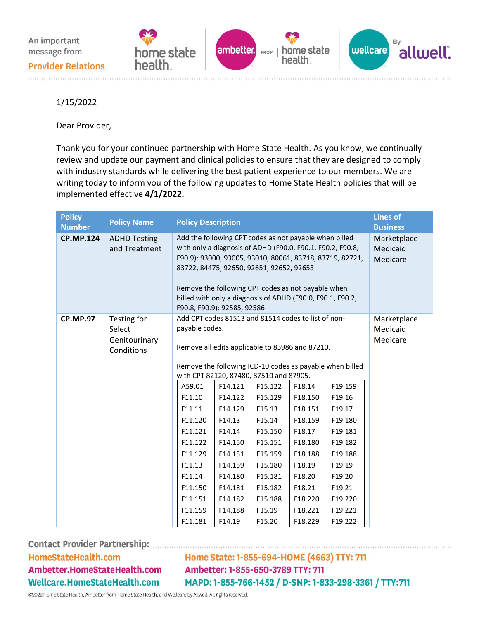An important message from







Provider Relations

1/15/2022

Dear Provider,

Thank you for your continued partnership with Home State Health. As you know, we continually review and update our payment and clinical policies to ensure that they are designed to comply with industry standards while delivering the best patient experience to our members. We are writing today to inform you of the following updates to Home State Health policies that will be implemented effective **4/1/2022.**

| <b>Policy</b><br><b>Number</b> | <b>Policy Name</b>                                   | <b>Policy Description</b>                                                                                                                                                                                                                                                                                                                                                       | <b>Lines of</b><br><b>Business</b>                                                                       |                                                                                                                                                             |                                                                                                       |                                                                                                                                                                   |                                     |
|--------------------------------|------------------------------------------------------|---------------------------------------------------------------------------------------------------------------------------------------------------------------------------------------------------------------------------------------------------------------------------------------------------------------------------------------------------------------------------------|----------------------------------------------------------------------------------------------------------|-------------------------------------------------------------------------------------------------------------------------------------------------------------|-------------------------------------------------------------------------------------------------------|-------------------------------------------------------------------------------------------------------------------------------------------------------------------|-------------------------------------|
| <b>CP.MP.124</b>               | <b>ADHD Testing</b><br>and Treatment                 | Add the following CPT codes as not payable when billed<br>with only a diagnosis of ADHD (F90.0, F90.1, F90.2, F90.8,<br>F90.9): 93000, 93005, 93010, 80061, 83718, 83719, 82721,<br>83722, 84475, 92650, 92651, 92652, 92653<br>Remove the following CPT codes as not payable when<br>billed with only a diagnosis of ADHD (F90.0, F90.1, F90.2,<br>F90.8, F90.9): 92585, 92586 |                                                                                                          |                                                                                                                                                             |                                                                                                       |                                                                                                                                                                   | Marketplace<br>Medicaid<br>Medicare |
| <b>CP.MP.97</b>                | Testing for<br>Select<br>Genitourinary<br>Conditions | Add CPT codes 81513 and 81514 codes to list of non-<br>payable codes.<br>with CPT 82120, 87480, 87510 and 87905.<br>A59.01<br>F11.10<br>F11.11<br>F11.120<br>F11.121<br>F11.122<br>F11.129<br>F11.13<br>F11.14<br>F11.150                                                                                                                                                       | F14.121<br>F14.122<br>F14.129<br>F14.13<br>F14.14<br>F14.150<br>F14.151<br>F14.159<br>F14.180<br>F14.181 | Remove all edits applicable to 83986 and 87210.<br>F15.122<br>F15.129<br>F15.13<br>F15.14<br>F15.150<br>F15.151<br>F15.159<br>F15.180<br>F15.181<br>F15.182 | F18.14<br>F18.150<br>F18.151<br>F18.159<br>F18.17<br>F18.180<br>F18.188<br>F18.19<br>F18.20<br>F18.21 | Remove the following ICD-10 codes as payable when billed<br>F19.159<br>F19.16<br>F19.17<br>F19.180<br>F19.181<br>F19.182<br>F19.188<br>F19.19<br>F19.20<br>F19.21 | Marketplace<br>Medicaid<br>Medicare |
|                                |                                                      | F11.151<br>F11.159<br>F11.181                                                                                                                                                                                                                                                                                                                                                   | F14.182<br>F14.188<br>F14.19                                                                             | F15.188<br>F15.19<br>F15.20                                                                                                                                 | F18.220<br>F18.221<br>F18.229                                                                         | F19.220<br>F19.221<br>F19.222                                                                                                                                     |                                     |

HomeStateHealth.com Ambetter.HomeStateHealth.com Wellcare.HomeStateHealth.com

Home State: 1-855-694-HOME (4663) TTY: 711 Ambetter: 1-855-650-3789 TTY: 711 MAPD: 1-855-766-1452 / D-SNP: 1-833-298-3361 / TTY:711

©2022 Home State Health, Ambetter from Home State Health, and Wellcare by Allwell. All rights reserved.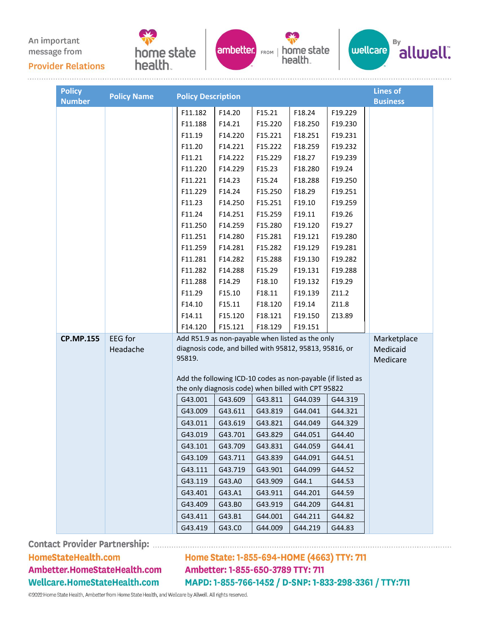An important message from

**Provider Relations** 





health.



| <b>Policy</b><br><b>Number</b> | <b>Policy Name</b>                                          | <b>Policy Description</b> |                                                                                                             |         |         |         | <b>Lines of</b><br><b>Business</b> |  |
|--------------------------------|-------------------------------------------------------------|---------------------------|-------------------------------------------------------------------------------------------------------------|---------|---------|---------|------------------------------------|--|
|                                |                                                             | F11.182                   | F14.20                                                                                                      | F15.21  | F18.24  | F19.229 |                                    |  |
|                                |                                                             | F11.188                   | F14.21                                                                                                      | F15.220 | F18.250 | F19.230 |                                    |  |
|                                |                                                             | F11.19                    | F14.220                                                                                                     | F15.221 | F18.251 | F19.231 |                                    |  |
|                                |                                                             | F11.20                    | F14.221                                                                                                     | F15.222 | F18.259 | F19.232 |                                    |  |
|                                |                                                             | F11.21                    | F14.222                                                                                                     | F15.229 | F18.27  | F19.239 |                                    |  |
|                                |                                                             | F11.220                   | F14.229                                                                                                     | F15.23  | F18.280 | F19.24  |                                    |  |
|                                |                                                             | F11.221                   | F14.23                                                                                                      | F15.24  | F18.288 | F19.250 |                                    |  |
|                                |                                                             | F11.229                   | F14.24                                                                                                      | F15.250 | F18.29  | F19.251 |                                    |  |
|                                |                                                             | F11.23                    | F14.250                                                                                                     | F15.251 | F19.10  | F19.259 |                                    |  |
|                                |                                                             | F11.24                    | F14.251                                                                                                     | F15.259 | F19.11  | F19.26  |                                    |  |
|                                |                                                             | F11.250                   | F14.259                                                                                                     | F15.280 | F19.120 | F19.27  |                                    |  |
|                                |                                                             | F11.251                   | F14.280                                                                                                     | F15.281 | F19.121 | F19.280 |                                    |  |
|                                |                                                             | F11.259                   | F14.281                                                                                                     | F15.282 | F19.129 | F19.281 |                                    |  |
|                                |                                                             | F11.281                   | F14.282                                                                                                     | F15.288 | F19.130 | F19.282 |                                    |  |
|                                |                                                             | F11.282                   | F14.288                                                                                                     | F15.29  | F19.131 | F19.288 |                                    |  |
|                                |                                                             | F11.288                   | F14.29                                                                                                      | F18.10  | F19.132 | F19.29  |                                    |  |
|                                |                                                             | F11.29                    | F15.10                                                                                                      | F18.11  | F19.139 | Z11.2   |                                    |  |
|                                |                                                             | F14.10                    | F15.11                                                                                                      | F18.120 | F19.14  | Z11.8   |                                    |  |
|                                |                                                             | F14.11                    | F15.120                                                                                                     | F18.121 | F19.150 | Z13.89  |                                    |  |
|                                |                                                             | F14.120                   | F15.121                                                                                                     | F18.129 | F19.151 |         |                                    |  |
| <b>CP.MP.155</b>               | EEG for<br>Headache                                         | 95819.                    | Add R51.9 as non-payable when listed as the only<br>diagnosis code, and billed with 95812, 95813, 95816, or |         |         |         |                                    |  |
|                                | Add the following ICD-10 codes as non-payable (if listed as |                           |                                                                                                             |         |         |         |                                    |  |
|                                |                                                             |                           | the only diagnosis code) when billed with CPT 95822                                                         |         |         |         |                                    |  |
|                                |                                                             | G43.001                   | G43.609                                                                                                     | G43.811 | G44.039 | G44.319 |                                    |  |
|                                |                                                             | G43.009                   | G43.611                                                                                                     | G43.819 | G44.041 | G44.321 |                                    |  |
|                                |                                                             | G43.011                   | G43.619                                                                                                     | G43.821 | G44.049 | G44.329 |                                    |  |
|                                |                                                             | G43.019                   | G43.701                                                                                                     | G43.829 | G44.051 | G44.40  |                                    |  |
|                                |                                                             | G43.101                   | G43.709                                                                                                     | G43.831 | G44.059 | G44.41  |                                    |  |
|                                |                                                             | G43.109                   | G43.711                                                                                                     | G43.839 | G44.091 | G44.51  |                                    |  |
|                                |                                                             | G43.111                   | G43.719                                                                                                     | G43.901 | G44.099 | G44.52  |                                    |  |
|                                |                                                             | G43.119                   | G43.A0                                                                                                      | G43.909 | G44.1   | G44.53  |                                    |  |
|                                |                                                             | G43.401                   | G43.A1                                                                                                      | G43.911 | G44.201 | G44.59  |                                    |  |
|                                |                                                             | G43.409                   | G43.B0                                                                                                      | G43.919 | G44.209 | G44.81  |                                    |  |
|                                |                                                             | G43.411                   | G43.B1                                                                                                      | G44.001 | G44.211 | G44.82  |                                    |  |
|                                |                                                             | G43.419                   | G43.CO                                                                                                      | G44.009 | G44.219 | G44.83  |                                    |  |

Contact Provider Partnership: ................

## HomeStateHealth.com Ambetter.HomeStateHealth.com Wellcare.HomeStateHealth.com

Home State: 1-855-694-HOME (4663) TTY: 711 Ambetter: 1-855-650-3789 TTY: 711 MAPD: 1-855-766-1452 / D-SNP: 1-833-298-3361 / TTY:711

©2022 Home State Health, Ambetter from Home State Health, and Wellcare by Allwell. All rights reserved.